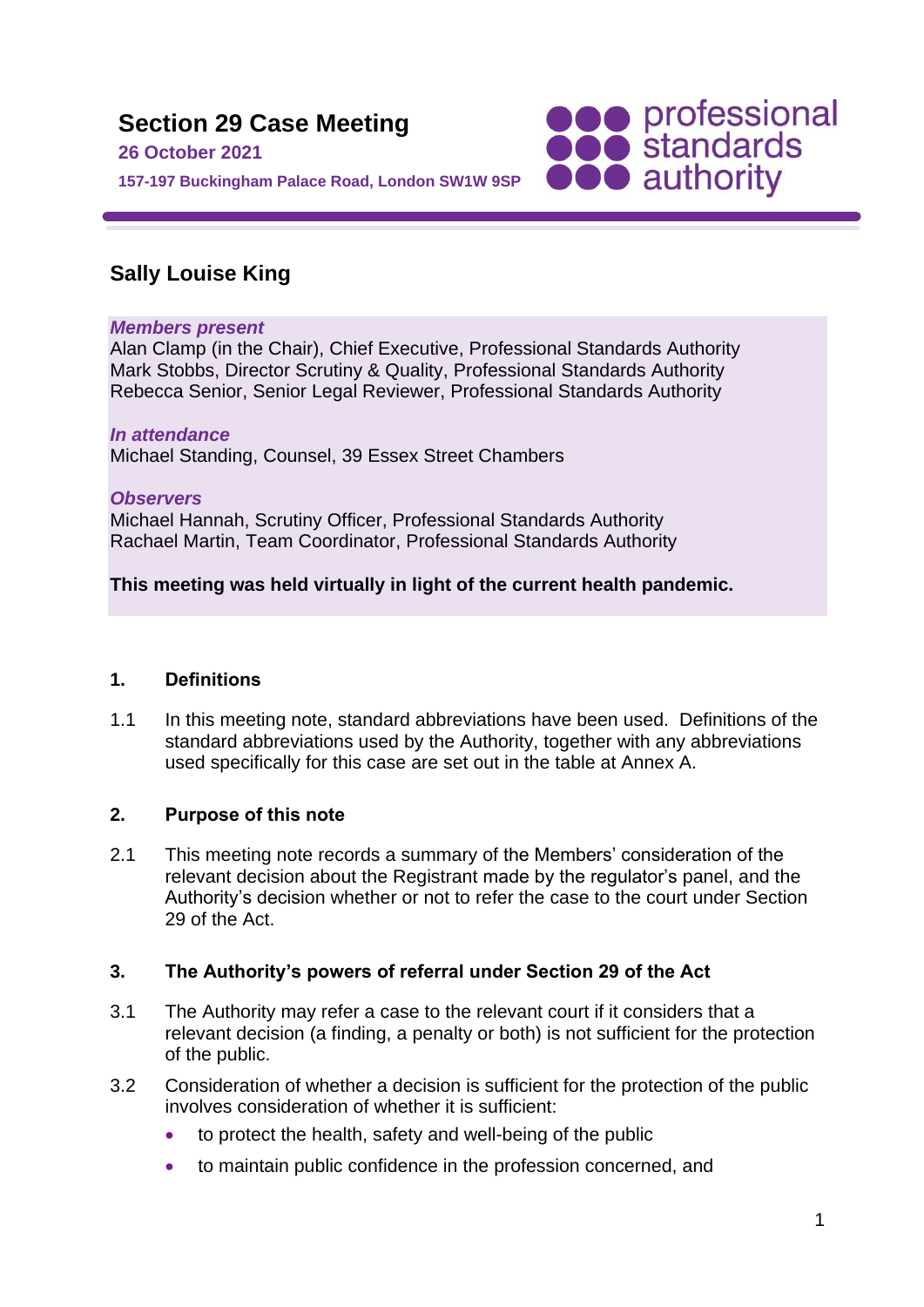

# **Sally Louise King**

### *Members present*

Alan Clamp (in the Chair), Chief Executive, Professional Standards Authority Mark Stobbs, Director Scrutiny & Quality, Professional Standards Authority Rebecca Senior, Senior Legal Reviewer, Professional Standards Authority

#### *In attendance* Michael Standing, Counsel, 39 Essex Street Chambers

*Observers* Michael Hannah, Scrutiny Officer, Professional Standards Authority Rachael Martin, Team Coordinator, Professional Standards Authority

## **This meeting was held virtually in light of the current health pandemic.**

## **1. Definitions**

1.1 In this meeting note, standard abbreviations have been used. Definitions of the standard abbreviations used by the Authority, together with any abbreviations used specifically for this case are set out in the table at Annex A.

## **2. Purpose of this note**

2.1 This meeting note records a summary of the Members' consideration of the relevant decision about the Registrant made by the regulator's panel, and the Authority's decision whether or not to refer the case to the court under Section 29 of the Act.

## **3. The Authority's powers of referral under Section 29 of the Act**

- 3.1 The Authority may refer a case to the relevant court if it considers that a relevant decision (a finding, a penalty or both) is not sufficient for the protection of the public.
- 3.2 Consideration of whether a decision is sufficient for the protection of the public involves consideration of whether it is sufficient:
	- to protect the health, safety and well-being of the public
	- to maintain public confidence in the profession concerned, and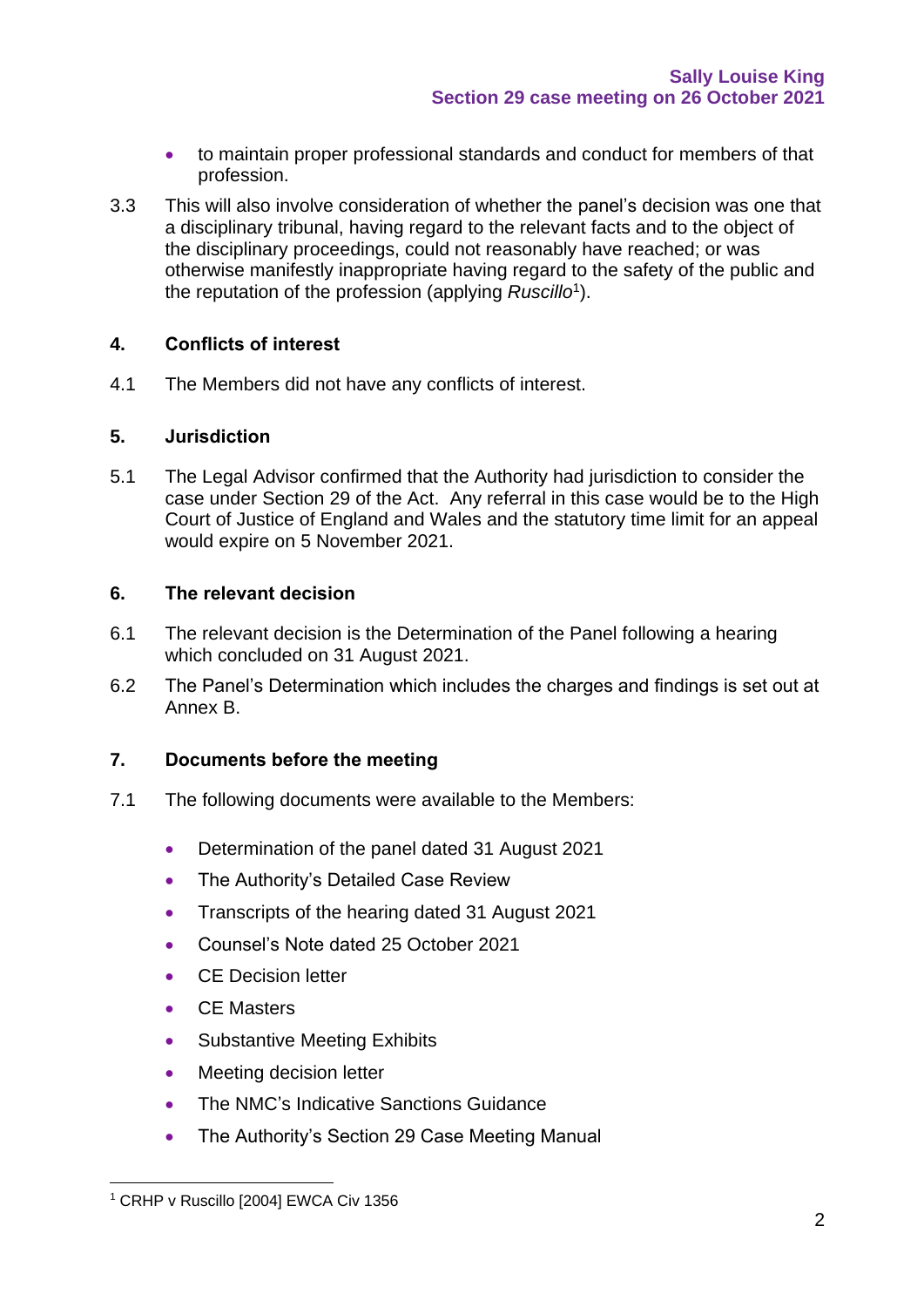- to maintain proper professional standards and conduct for members of that profession.
- 3.3 This will also involve consideration of whether the panel's decision was one that a disciplinary tribunal, having regard to the relevant facts and to the object of the disciplinary proceedings, could not reasonably have reached; or was otherwise manifestly inappropriate having regard to the safety of the public and the reputation of the profession (applying *Ruscillo*<sup>1</sup> ).

### **4. Conflicts of interest**

4.1 The Members did not have any conflicts of interest.

### **5. Jurisdiction**

5.1 The Legal Advisor confirmed that the Authority had jurisdiction to consider the case under Section 29 of the Act. Any referral in this case would be to the High Court of Justice of England and Wales and the statutory time limit for an appeal would expire on 5 November 2021.

### **6. The relevant decision**

- 6.1 The relevant decision is the Determination of the Panel following a hearing which concluded on 31 August 2021.
- 6.2 The Panel's Determination which includes the charges and findings is set out at Annex B.

### **7. Documents before the meeting**

- 7.1 The following documents were available to the Members:
	- Determination of the panel dated 31 August 2021
	- The Authority's Detailed Case Review
	- Transcripts of the hearing dated 31 August 2021
	- Counsel's Note dated 25 October 2021
	- CE Decision letter
	- CE Masters
	- Substantive Meeting Exhibits
	- Meeting decision letter
	- The NMC's Indicative Sanctions Guidance
	- The Authority's Section 29 Case Meeting Manual

<sup>&</sup>lt;sup>1</sup> CRHP v Ruscillo [2004] EWCA Civ 1356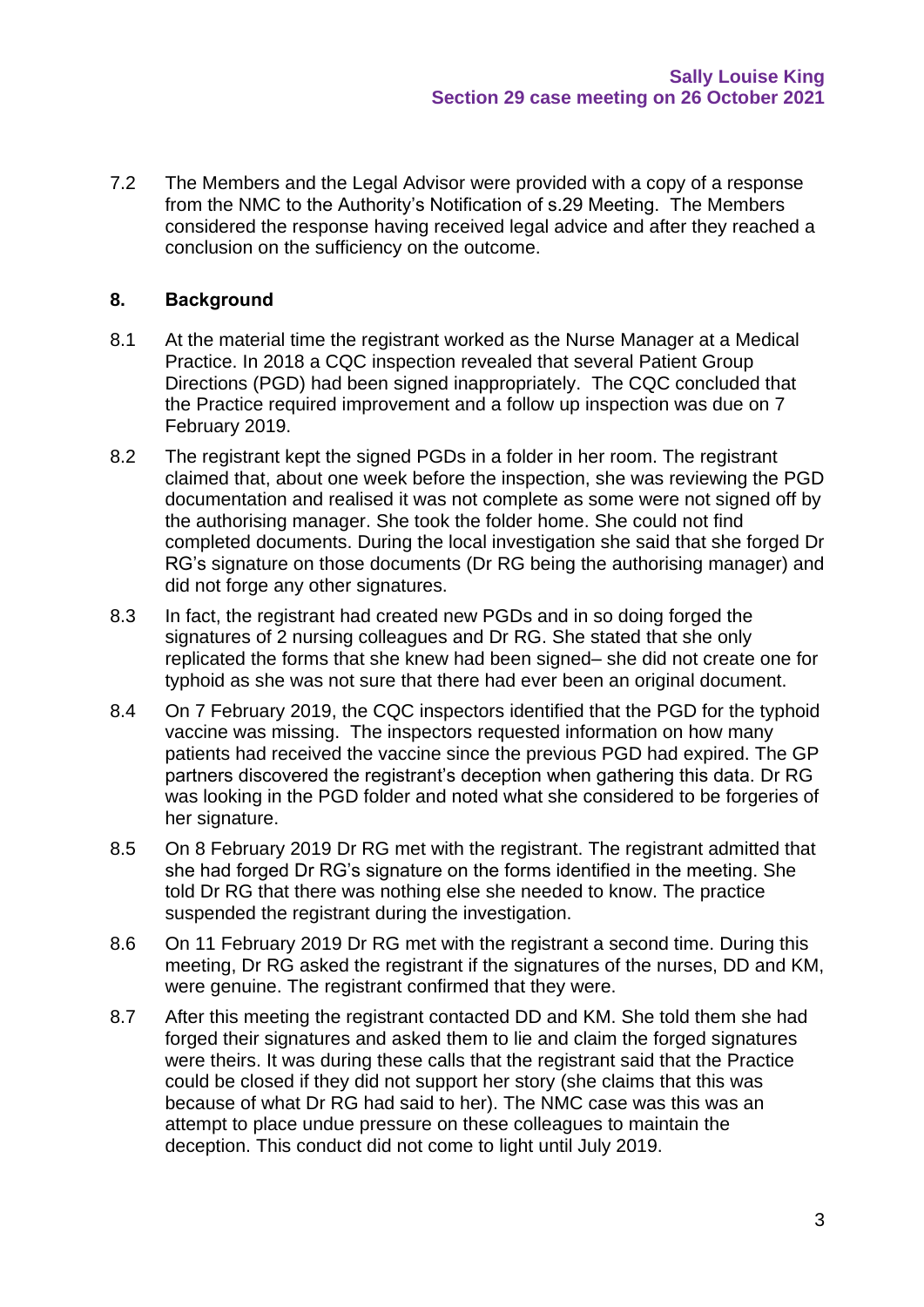7.2 The Members and the Legal Advisor were provided with a copy of a response from the NMC to the Authority's Notification of s.29 Meeting. The Members considered the response having received legal advice and after they reached a conclusion on the sufficiency on the outcome.

### **8. Background**

- 8.1 At the material time the registrant worked as the Nurse Manager at a Medical Practice. In 2018 a CQC inspection revealed that several Patient Group Directions (PGD) had been signed inappropriately. The CQC concluded that the Practice required improvement and a follow up inspection was due on 7 February 2019.
- 8.2 The registrant kept the signed PGDs in a folder in her room. The registrant claimed that, about one week before the inspection, she was reviewing the PGD documentation and realised it was not complete as some were not signed off by the authorising manager. She took the folder home. She could not find completed documents. During the local investigation she said that she forged Dr RG's signature on those documents (Dr RG being the authorising manager) and did not forge any other signatures.
- 8.3 In fact, the registrant had created new PGDs and in so doing forged the signatures of 2 nursing colleagues and Dr RG. She stated that she only replicated the forms that she knew had been signed– she did not create one for typhoid as she was not sure that there had ever been an original document.
- 8.4 On 7 February 2019, the CQC inspectors identified that the PGD for the typhoid vaccine was missing. The inspectors requested information on how many patients had received the vaccine since the previous PGD had expired. The GP partners discovered the registrant's deception when gathering this data. Dr RG was looking in the PGD folder and noted what she considered to be forgeries of her signature.
- 8.5 On 8 February 2019 Dr RG met with the registrant. The registrant admitted that she had forged Dr RG's signature on the forms identified in the meeting. She told Dr RG that there was nothing else she needed to know. The practice suspended the registrant during the investigation.
- 8.6 On 11 February 2019 Dr RG met with the registrant a second time. During this meeting, Dr RG asked the registrant if the signatures of the nurses, DD and KM, were genuine. The registrant confirmed that they were.
- 8.7 After this meeting the registrant contacted DD and KM. She told them she had forged their signatures and asked them to lie and claim the forged signatures were theirs. It was during these calls that the registrant said that the Practice could be closed if they did not support her story (she claims that this was because of what Dr RG had said to her). The NMC case was this was an attempt to place undue pressure on these colleagues to maintain the deception. This conduct did not come to light until July 2019.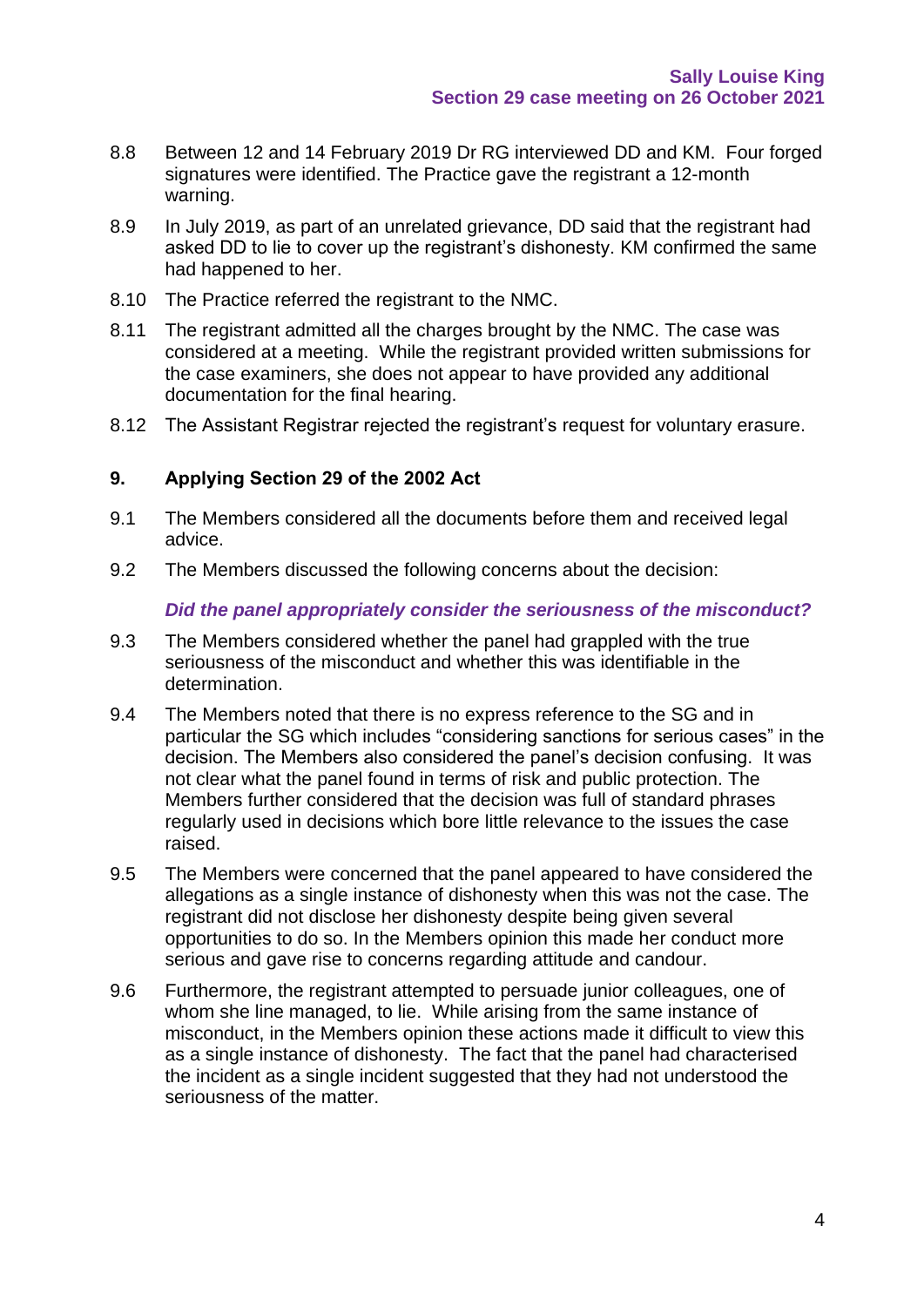- 8.8 Between 12 and 14 February 2019 Dr RG interviewed DD and KM. Four forged signatures were identified. The Practice gave the registrant a 12-month warning.
- 8.9 In July 2019, as part of an unrelated grievance, DD said that the registrant had asked DD to lie to cover up the registrant's dishonesty. KM confirmed the same had happened to her.
- 8.10 The Practice referred the registrant to the NMC.
- 8.11 The registrant admitted all the charges brought by the NMC. The case was considered at a meeting. While the registrant provided written submissions for the case examiners, she does not appear to have provided any additional documentation for the final hearing.
- 8.12 The Assistant Registrar rejected the registrant's request for voluntary erasure.

### **9. Applying Section 29 of the 2002 Act**

- 9.1 The Members considered all the documents before them and received legal advice.
- 9.2 The Members discussed the following concerns about the decision:

#### *Did the panel appropriately consider the seriousness of the misconduct?*

- 9.3 The Members considered whether the panel had grappled with the true seriousness of the misconduct and whether this was identifiable in the determination.
- 9.4 The Members noted that there is no express reference to the SG and in particular the SG which includes "considering sanctions for serious cases" in the decision. The Members also considered the panel's decision confusing. It was not clear what the panel found in terms of risk and public protection. The Members further considered that the decision was full of standard phrases regularly used in decisions which bore little relevance to the issues the case raised.
- 9.5 The Members were concerned that the panel appeared to have considered the allegations as a single instance of dishonesty when this was not the case. The registrant did not disclose her dishonesty despite being given several opportunities to do so. In the Members opinion this made her conduct more serious and gave rise to concerns regarding attitude and candour.
- 9.6 Furthermore, the registrant attempted to persuade junior colleagues, one of whom she line managed, to lie. While arising from the same instance of misconduct, in the Members opinion these actions made it difficult to view this as a single instance of dishonesty. The fact that the panel had characterised the incident as a single incident suggested that they had not understood the seriousness of the matter.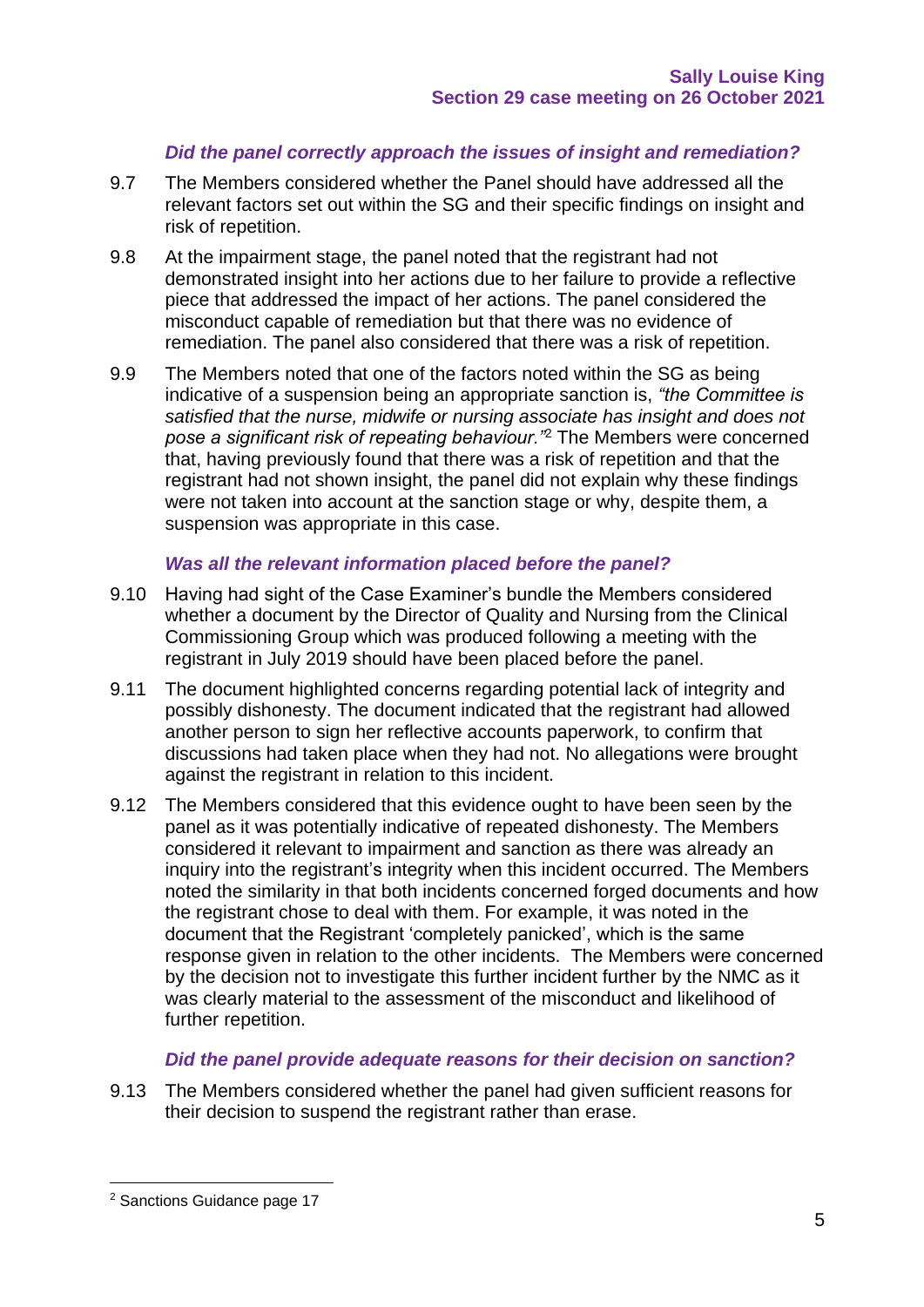## *Did the panel correctly approach the issues of insight and remediation?*

- 9.7 The Members considered whether the Panel should have addressed all the relevant factors set out within the SG and their specific findings on insight and risk of repetition.
- 9.8 At the impairment stage, the panel noted that the registrant had not demonstrated insight into her actions due to her failure to provide a reflective piece that addressed the impact of her actions. The panel considered the misconduct capable of remediation but that there was no evidence of remediation. The panel also considered that there was a risk of repetition.
- 9.9 The Members noted that one of the factors noted within the SG as being indicative of a suspension being an appropriate sanction is, *"the Committee is satisfied that the nurse, midwife or nursing associate has insight and does not pose a significant risk of repeating behaviour."*<sup>2</sup> The Members were concerned that, having previously found that there was a risk of repetition and that the registrant had not shown insight, the panel did not explain why these findings were not taken into account at the sanction stage or why, despite them, a suspension was appropriate in this case.

### *Was all the relevant information placed before the panel?*

- 9.10 Having had sight of the Case Examiner's bundle the Members considered whether a document by the Director of Quality and Nursing from the Clinical Commissioning Group which was produced following a meeting with the registrant in July 2019 should have been placed before the panel.
- 9.11 The document highlighted concerns regarding potential lack of integrity and possibly dishonesty. The document indicated that the registrant had allowed another person to sign her reflective accounts paperwork, to confirm that discussions had taken place when they had not. No allegations were brought against the registrant in relation to this incident.
- 9.12 The Members considered that this evidence ought to have been seen by the panel as it was potentially indicative of repeated dishonesty. The Members considered it relevant to impairment and sanction as there was already an inquiry into the registrant's integrity when this incident occurred. The Members noted the similarity in that both incidents concerned forged documents and how the registrant chose to deal with them. For example, it was noted in the document that the Registrant 'completely panicked', which is the same response given in relation to the other incidents. The Members were concerned by the decision not to investigate this further incident further by the NMC as it was clearly material to the assessment of the misconduct and likelihood of further repetition.

#### *Did the panel provide adequate reasons for their decision on sanction?*

9.13 The Members considered whether the panel had given sufficient reasons for their decision to suspend the registrant rather than erase.

<sup>2</sup> Sanctions Guidance page 17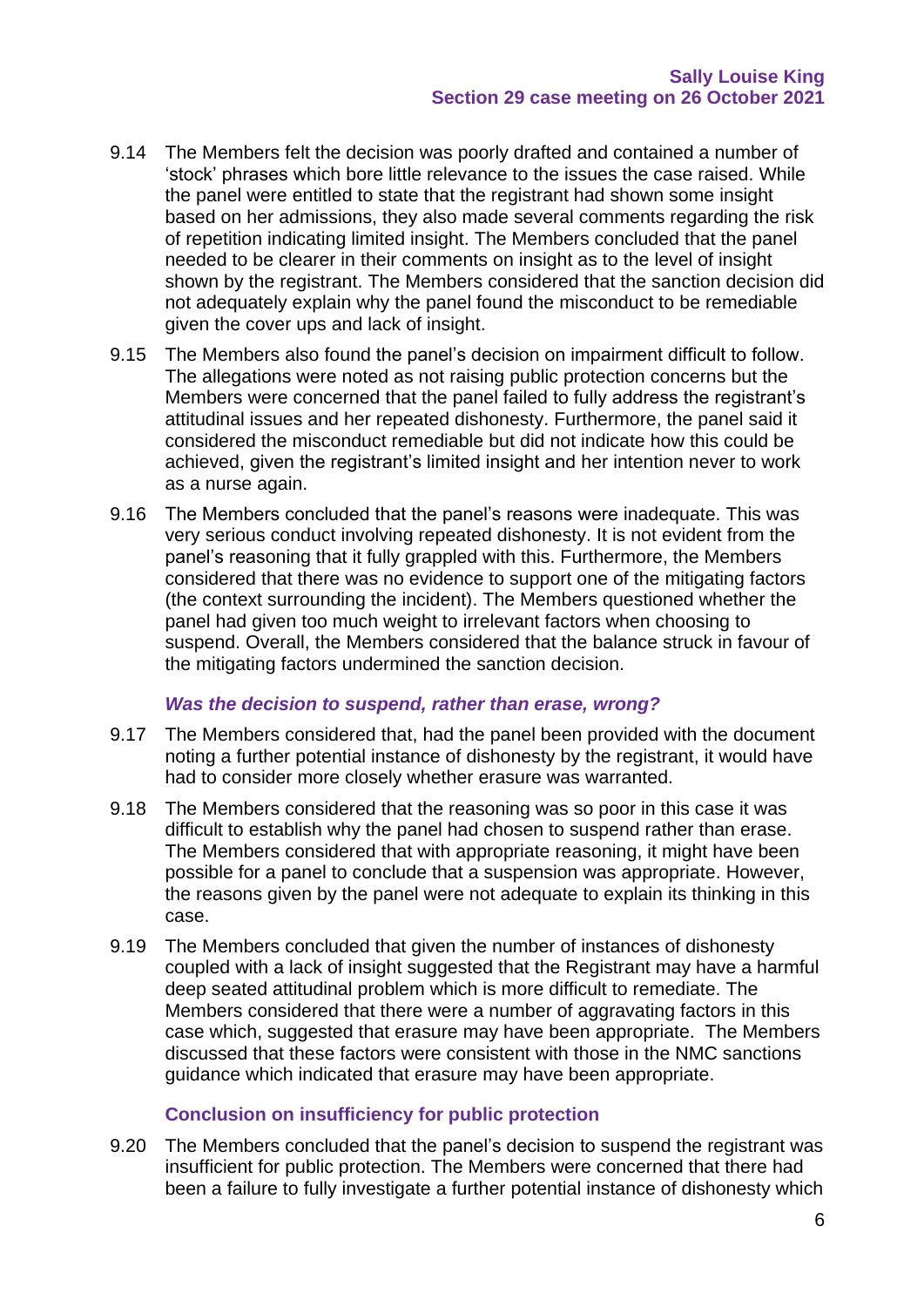- 9.14 The Members felt the decision was poorly drafted and contained a number of 'stock' phrases which bore little relevance to the issues the case raised. While the panel were entitled to state that the registrant had shown some insight based on her admissions, they also made several comments regarding the risk of repetition indicating limited insight. The Members concluded that the panel needed to be clearer in their comments on insight as to the level of insight shown by the registrant. The Members considered that the sanction decision did not adequately explain why the panel found the misconduct to be remediable given the cover ups and lack of insight.
- 9.15 The Members also found the panel's decision on impairment difficult to follow. The allegations were noted as not raising public protection concerns but the Members were concerned that the panel failed to fully address the registrant's attitudinal issues and her repeated dishonesty. Furthermore, the panel said it considered the misconduct remediable but did not indicate how this could be achieved, given the registrant's limited insight and her intention never to work as a nurse again.
- 9.16 The Members concluded that the panel's reasons were inadequate. This was very serious conduct involving repeated dishonesty. It is not evident from the panel's reasoning that it fully grappled with this. Furthermore, the Members considered that there was no evidence to support one of the mitigating factors (the context surrounding the incident). The Members questioned whether the panel had given too much weight to irrelevant factors when choosing to suspend. Overall, the Members considered that the balance struck in favour of the mitigating factors undermined the sanction decision.

#### *Was the decision to suspend, rather than erase, wrong?*

- 9.17 The Members considered that, had the panel been provided with the document noting a further potential instance of dishonesty by the registrant, it would have had to consider more closely whether erasure was warranted.
- 9.18 The Members considered that the reasoning was so poor in this case it was difficult to establish why the panel had chosen to suspend rather than erase. The Members considered that with appropriate reasoning, it might have been possible for a panel to conclude that a suspension was appropriate. However, the reasons given by the panel were not adequate to explain its thinking in this case.
- 9.19 The Members concluded that given the number of instances of dishonesty coupled with a lack of insight suggested that the Registrant may have a harmful deep seated attitudinal problem which is more difficult to remediate. The Members considered that there were a number of aggravating factors in this case which, suggested that erasure may have been appropriate. The Members discussed that these factors were consistent with those in the NMC sanctions guidance which indicated that erasure may have been appropriate.

#### **Conclusion on insufficiency for public protection**

9.20 The Members concluded that the panel's decision to suspend the registrant was insufficient for public protection. The Members were concerned that there had been a failure to fully investigate a further potential instance of dishonesty which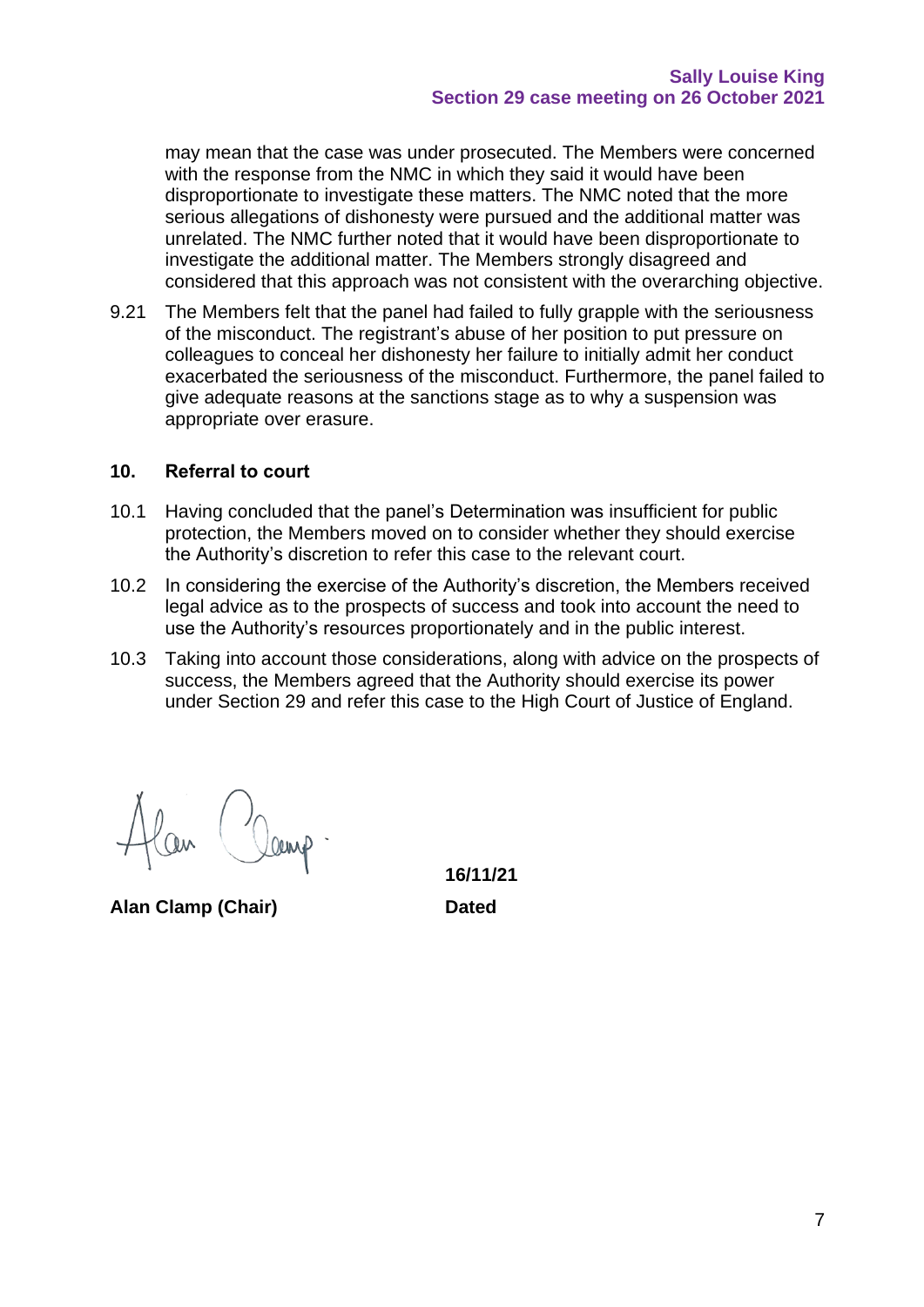may mean that the case was under prosecuted. The Members were concerned with the response from the NMC in which they said it would have been disproportionate to investigate these matters. The NMC noted that the more serious allegations of dishonesty were pursued and the additional matter was unrelated. The NMC further noted that it would have been disproportionate to investigate the additional matter. The Members strongly disagreed and considered that this approach was not consistent with the overarching objective.

9.21 The Members felt that the panel had failed to fully grapple with the seriousness of the misconduct. The registrant's abuse of her position to put pressure on colleagues to conceal her dishonesty her failure to initially admit her conduct exacerbated the seriousness of the misconduct. Furthermore, the panel failed to give adequate reasons at the sanctions stage as to why a suspension was appropriate over erasure.

#### **10. Referral to court**

- 10.1 Having concluded that the panel's Determination was insufficient for public protection, the Members moved on to consider whether they should exercise the Authority's discretion to refer this case to the relevant court.
- 10.2 In considering the exercise of the Authority's discretion, the Members received legal advice as to the prospects of success and took into account the need to use the Authority's resources proportionately and in the public interest.
- 10.3 Taking into account those considerations, along with advice on the prospects of success, the Members agreed that the Authority should exercise its power under Section 29 and refer this case to the High Court of Justice of England.

**Alan Clamp (Chair) Dated**

**16/11/21**